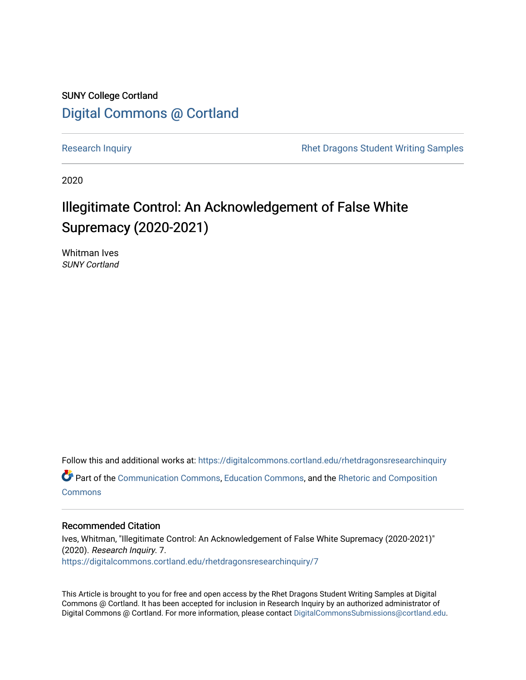### SUNY College Cortland [Digital Commons @ Cortland](https://digitalcommons.cortland.edu/)

[Research Inquiry](https://digitalcommons.cortland.edu/rhetdragonsresearchinquiry) **Research Inquiry** Research Inquiry **Rhet Dragons Student Writing Samples** 

2020

## Illegitimate Control: An Acknowledgement of False White Supremacy (2020-2021)

Whitman Ives SUNY Cortland

Follow this and additional works at: [https://digitalcommons.cortland.edu/rhetdragonsresearchinquiry](https://digitalcommons.cortland.edu/rhetdragonsresearchinquiry?utm_source=digitalcommons.cortland.edu%2Frhetdragonsresearchinquiry%2F7&utm_medium=PDF&utm_campaign=PDFCoverPages) Part of the [Communication Commons,](http://network.bepress.com/hgg/discipline/325?utm_source=digitalcommons.cortland.edu%2Frhetdragonsresearchinquiry%2F7&utm_medium=PDF&utm_campaign=PDFCoverPages) [Education Commons,](http://network.bepress.com/hgg/discipline/784?utm_source=digitalcommons.cortland.edu%2Frhetdragonsresearchinquiry%2F7&utm_medium=PDF&utm_campaign=PDFCoverPages) and the [Rhetoric and Composition](http://network.bepress.com/hgg/discipline/573?utm_source=digitalcommons.cortland.edu%2Frhetdragonsresearchinquiry%2F7&utm_medium=PDF&utm_campaign=PDFCoverPages) **[Commons](http://network.bepress.com/hgg/discipline/573?utm_source=digitalcommons.cortland.edu%2Frhetdragonsresearchinquiry%2F7&utm_medium=PDF&utm_campaign=PDFCoverPages)** 

### Recommended Citation

Ives, Whitman, "Illegitimate Control: An Acknowledgement of False White Supremacy (2020-2021)" (2020). Research Inquiry. 7. [https://digitalcommons.cortland.edu/rhetdragonsresearchinquiry/7](https://digitalcommons.cortland.edu/rhetdragonsresearchinquiry/7?utm_source=digitalcommons.cortland.edu%2Frhetdragonsresearchinquiry%2F7&utm_medium=PDF&utm_campaign=PDFCoverPages) 

This Article is brought to you for free and open access by the Rhet Dragons Student Writing Samples at Digital Commons @ Cortland. It has been accepted for inclusion in Research Inquiry by an authorized administrator of Digital Commons @ Cortland. For more information, please contact [DigitalCommonsSubmissions@cortland.edu](mailto:DigitalCommonsSubmissions@cortland.edu).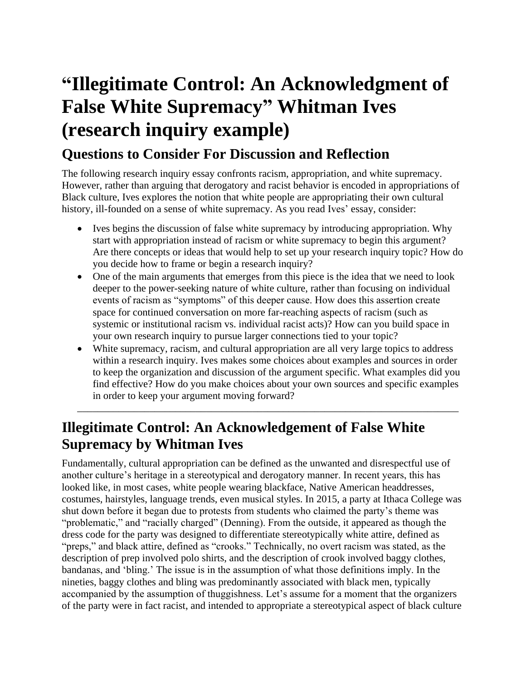# **"Illegitimate Control: An Acknowledgment of False White Supremacy" Whitman Ives (research inquiry example)**

### **Questions to Consider For Discussion and Reflection**

The following research inquiry essay confronts racism, appropriation, and white supremacy. However, rather than arguing that derogatory and racist behavior is encoded in appropriations of Black culture, Ives explores the notion that white people are appropriating their own cultural history, ill-founded on a sense of white supremacy. As you read Ives' essay, consider:

- Ives begins the discussion of false white supremacy by introducing appropriation. Why start with appropriation instead of racism or white supremacy to begin this argument? Are there concepts or ideas that would help to set up your research inquiry topic? How do you decide how to frame or begin a research inquiry?
- One of the main arguments that emerges from this piece is the idea that we need to look deeper to the power-seeking nature of white culture, rather than focusing on individual events of racism as "symptoms" of this deeper cause. How does this assertion create space for continued conversation on more far-reaching aspects of racism (such as systemic or institutional racism vs. individual racist acts)? How can you build space in your own research inquiry to pursue larger connections tied to your topic?
- White supremacy, racism, and cultural appropriation are all very large topics to address within a research inquiry. Ives makes some choices about examples and sources in order to keep the organization and discussion of the argument specific. What examples did you find effective? How do you make choices about your own sources and specific examples in order to keep your argument moving forward?

\_\_\_\_\_\_\_\_\_\_\_\_\_\_\_\_\_\_\_\_\_\_\_\_\_\_\_\_\_\_\_\_\_\_\_\_\_\_\_\_\_\_\_\_\_\_\_\_\_\_\_\_\_\_\_\_\_\_\_\_\_\_\_\_\_\_\_\_\_\_\_\_\_\_

## **Illegitimate Control: An Acknowledgement of False White Supremacy by Whitman Ives**

Fundamentally, cultural appropriation can be defined as the unwanted and disrespectful use of another culture's heritage in a stereotypical and derogatory manner. In recent years, this has looked like, in most cases, white people wearing blackface, Native American headdresses, costumes, hairstyles, language trends, even musical styles. In 2015, a party at Ithaca College was shut down before it began due to protests from students who claimed the party's theme was "problematic," and "racially charged" (Denning). From the outside, it appeared as though the dress code for the party was designed to differentiate stereotypically white attire, defined as "preps," and black attire, defined as "crooks." Technically, no overt racism was stated, as the description of prep involved polo shirts, and the description of crook involved baggy clothes, bandanas, and 'bling.' The issue is in the assumption of what those definitions imply. In the nineties, baggy clothes and bling was predominantly associated with black men, typically accompanied by the assumption of thuggishness. Let's assume for a moment that the organizers of the party were in fact racist, and intended to appropriate a stereotypical aspect of black culture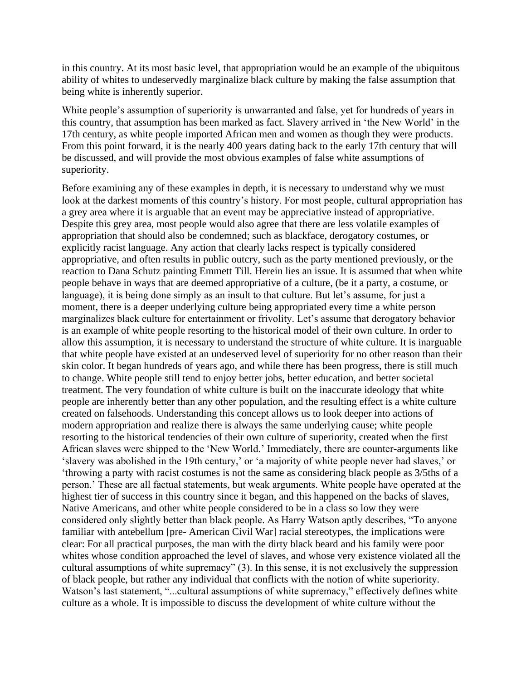in this country. At its most basic level, that appropriation would be an example of the ubiquitous ability of whites to undeservedly marginalize black culture by making the false assumption that being white is inherently superior.

White people's assumption of superiority is unwarranted and false, yet for hundreds of years in this country, that assumption has been marked as fact. Slavery arrived in 'the New World' in the 17th century, as white people imported African men and women as though they were products. From this point forward, it is the nearly 400 years dating back to the early 17th century that will be discussed, and will provide the most obvious examples of false white assumptions of superiority.

Before examining any of these examples in depth, it is necessary to understand why we must look at the darkest moments of this country's history. For most people, cultural appropriation has a grey area where it is arguable that an event may be appreciative instead of appropriative. Despite this grey area, most people would also agree that there are less volatile examples of appropriation that should also be condemned; such as blackface, derogatory costumes, or explicitly racist language. Any action that clearly lacks respect is typically considered appropriative, and often results in public outcry, such as the party mentioned previously, or the reaction to Dana Schutz painting Emmett Till. Herein lies an issue. It is assumed that when white people behave in ways that are deemed appropriative of a culture, (be it a party, a costume, or language), it is being done simply as an insult to that culture. But let's assume, for just a moment, there is a deeper underlying culture being appropriated every time a white person marginalizes black culture for entertainment or frivolity. Let's assume that derogatory behavior is an example of white people resorting to the historical model of their own culture. In order to allow this assumption, it is necessary to understand the structure of white culture. It is inarguable that white people have existed at an undeserved level of superiority for no other reason than their skin color. It began hundreds of years ago, and while there has been progress, there is still much to change. White people still tend to enjoy better jobs, better education, and better societal treatment. The very foundation of white culture is built on the inaccurate ideology that white people are inherently better than any other population, and the resulting effect is a white culture created on falsehoods. Understanding this concept allows us to look deeper into actions of modern appropriation and realize there is always the same underlying cause; white people resorting to the historical tendencies of their own culture of superiority, created when the first African slaves were shipped to the 'New World.' Immediately, there are counter-arguments like 'slavery was abolished in the 19th century,' or 'a majority of white people never had slaves,' or 'throwing a party with racist costumes is not the same as considering black people as 3/5ths of a person.' These are all factual statements, but weak arguments. White people have operated at the highest tier of success in this country since it began, and this happened on the backs of slaves, Native Americans, and other white people considered to be in a class so low they were considered only slightly better than black people. As Harry Watson aptly describes, "To anyone familiar with antebellum [pre- American Civil War] racial stereotypes, the implications were clear: For all practical purposes, the man with the dirty black beard and his family were poor whites whose condition approached the level of slaves, and whose very existence violated all the cultural assumptions of white supremacy" (3). In this sense, it is not exclusively the suppression of black people, but rather any individual that conflicts with the notion of white superiority. Watson's last statement, "...cultural assumptions of white supremacy," effectively defines white culture as a whole. It is impossible to discuss the development of white culture without the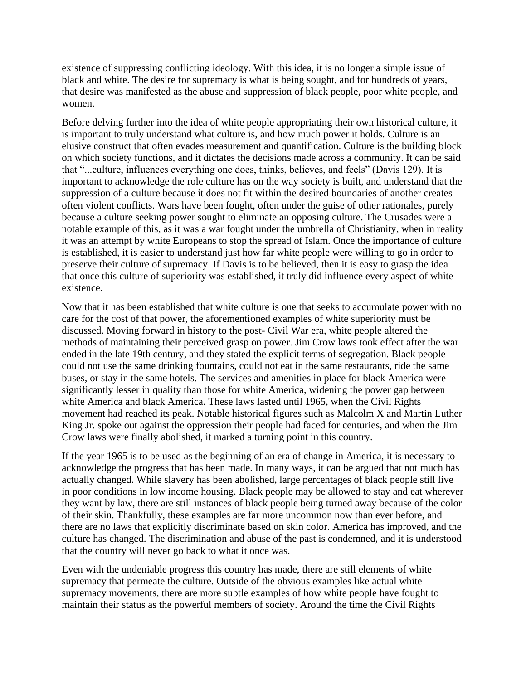existence of suppressing conflicting ideology. With this idea, it is no longer a simple issue of black and white. The desire for supremacy is what is being sought, and for hundreds of years, that desire was manifested as the abuse and suppression of black people, poor white people, and women.

Before delving further into the idea of white people appropriating their own historical culture, it is important to truly understand what culture is, and how much power it holds. Culture is an elusive construct that often evades measurement and quantification. Culture is the building block on which society functions, and it dictates the decisions made across a community. It can be said that "...culture, influences everything one does, thinks, believes, and feels" (Davis 129). It is important to acknowledge the role culture has on the way society is built, and understand that the suppression of a culture because it does not fit within the desired boundaries of another creates often violent conflicts. Wars have been fought, often under the guise of other rationales, purely because a culture seeking power sought to eliminate an opposing culture. The Crusades were a notable example of this, as it was a war fought under the umbrella of Christianity, when in reality it was an attempt by white Europeans to stop the spread of Islam. Once the importance of culture is established, it is easier to understand just how far white people were willing to go in order to preserve their culture of supremacy. If Davis is to be believed, then it is easy to grasp the idea that once this culture of superiority was established, it truly did influence every aspect of white existence.

Now that it has been established that white culture is one that seeks to accumulate power with no care for the cost of that power, the aforementioned examples of white superiority must be discussed. Moving forward in history to the post- Civil War era, white people altered the methods of maintaining their perceived grasp on power. Jim Crow laws took effect after the war ended in the late 19th century, and they stated the explicit terms of segregation. Black people could not use the same drinking fountains, could not eat in the same restaurants, ride the same buses, or stay in the same hotels. The services and amenities in place for black America were significantly lesser in quality than those for white America, widening the power gap between white America and black America. These laws lasted until 1965, when the Civil Rights movement had reached its peak. Notable historical figures such as Malcolm X and Martin Luther King Jr. spoke out against the oppression their people had faced for centuries, and when the Jim Crow laws were finally abolished, it marked a turning point in this country.

If the year 1965 is to be used as the beginning of an era of change in America, it is necessary to acknowledge the progress that has been made. In many ways, it can be argued that not much has actually changed. While slavery has been abolished, large percentages of black people still live in poor conditions in low income housing. Black people may be allowed to stay and eat wherever they want by law, there are still instances of black people being turned away because of the color of their skin. Thankfully, these examples are far more uncommon now than ever before, and there are no laws that explicitly discriminate based on skin color. America has improved, and the culture has changed. The discrimination and abuse of the past is condemned, and it is understood that the country will never go back to what it once was.

Even with the undeniable progress this country has made, there are still elements of white supremacy that permeate the culture. Outside of the obvious examples like actual white supremacy movements, there are more subtle examples of how white people have fought to maintain their status as the powerful members of society. Around the time the Civil Rights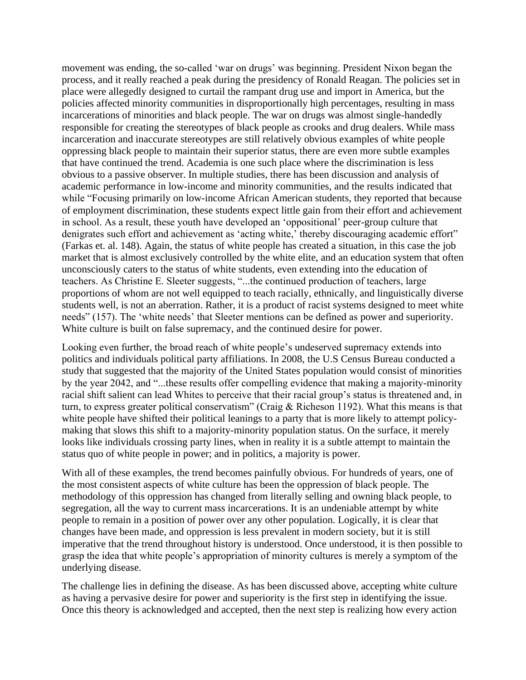movement was ending, the so-called 'war on drugs' was beginning. President Nixon began the process, and it really reached a peak during the presidency of Ronald Reagan. The policies set in place were allegedly designed to curtail the rampant drug use and import in America, but the policies affected minority communities in disproportionally high percentages, resulting in mass incarcerations of minorities and black people. The war on drugs was almost single-handedly responsible for creating the stereotypes of black people as crooks and drug dealers. While mass incarceration and inaccurate stereotypes are still relatively obvious examples of white people oppressing black people to maintain their superior status, there are even more subtle examples that have continued the trend. Academia is one such place where the discrimination is less obvious to a passive observer. In multiple studies, there has been discussion and analysis of academic performance in low-income and minority communities, and the results indicated that while "Focusing primarily on low-income African American students, they reported that because of employment discrimination, these students expect little gain from their effort and achievement in school. As a result, these youth have developed an 'oppositional' peer-group culture that denigrates such effort and achievement as 'acting white,' thereby discouraging academic effort" (Farkas et. al. 148). Again, the status of white people has created a situation, in this case the job market that is almost exclusively controlled by the white elite, and an education system that often unconsciously caters to the status of white students, even extending into the education of teachers. As Christine E. Sleeter suggests, "...the continued production of teachers, large proportions of whom are not well equipped to teach racially, ethnically, and linguistically diverse students well, is not an aberration. Rather, it is a product of racist systems designed to meet white needs" (157). The 'white needs' that Sleeter mentions can be defined as power and superiority. White culture is built on false supremacy, and the continued desire for power.

Looking even further, the broad reach of white people's undeserved supremacy extends into politics and individuals political party affiliations. In 2008, the U.S Census Bureau conducted a study that suggested that the majority of the United States population would consist of minorities by the year 2042, and "...these results offer compelling evidence that making a majority-minority racial shift salient can lead Whites to perceive that their racial group's status is threatened and, in turn, to express greater political conservatism" (Craig & Richeson 1192). What this means is that white people have shifted their political leanings to a party that is more likely to attempt policymaking that slows this shift to a majority-minority population status. On the surface, it merely looks like individuals crossing party lines, when in reality it is a subtle attempt to maintain the status quo of white people in power; and in politics, a majority is power.

With all of these examples, the trend becomes painfully obvious. For hundreds of years, one of the most consistent aspects of white culture has been the oppression of black people. The methodology of this oppression has changed from literally selling and owning black people, to segregation, all the way to current mass incarcerations. It is an undeniable attempt by white people to remain in a position of power over any other population. Logically, it is clear that changes have been made, and oppression is less prevalent in modern society, but it is still imperative that the trend throughout history is understood. Once understood, it is then possible to grasp the idea that white people's appropriation of minority cultures is merely a symptom of the underlying disease.

The challenge lies in defining the disease. As has been discussed above, accepting white culture as having a pervasive desire for power and superiority is the first step in identifying the issue. Once this theory is acknowledged and accepted, then the next step is realizing how every action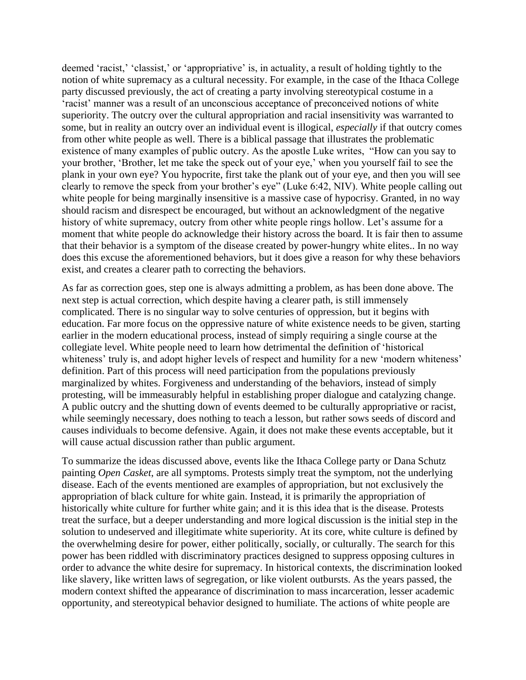deemed 'racist,' 'classist,' or 'appropriative' is, in actuality, a result of holding tightly to the notion of white supremacy as a cultural necessity. For example, in the case of the Ithaca College party discussed previously, the act of creating a party involving stereotypical costume in a 'racist' manner was a result of an unconscious acceptance of preconceived notions of white superiority. The outcry over the cultural appropriation and racial insensitivity was warranted to some, but in reality an outcry over an individual event is illogical, *especially* if that outcry comes from other white people as well. There is a biblical passage that illustrates the problematic existence of many examples of public outcry. As the apostle Luke writes, "How can you say to your brother, 'Brother, let me take the speck out of your eye,' when you yourself fail to see the plank in your own eye? You hypocrite, first take the plank out of your eye, and then you will see clearly to remove the speck from your brother's eye" (Luke 6:42, NIV). White people calling out white people for being marginally insensitive is a massive case of hypocrisy. Granted, in no way should racism and disrespect be encouraged, but without an acknowledgment of the negative history of white supremacy, outcry from other white people rings hollow. Let's assume for a moment that white people do acknowledge their history across the board. It is fair then to assume that their behavior is a symptom of the disease created by power-hungry white elites.. In no way does this excuse the aforementioned behaviors, but it does give a reason for why these behaviors exist, and creates a clearer path to correcting the behaviors.

As far as correction goes, step one is always admitting a problem, as has been done above. The next step is actual correction, which despite having a clearer path, is still immensely complicated. There is no singular way to solve centuries of oppression, but it begins with education. Far more focus on the oppressive nature of white existence needs to be given, starting earlier in the modern educational process, instead of simply requiring a single course at the collegiate level. White people need to learn how detrimental the definition of 'historical whiteness' truly is, and adopt higher levels of respect and humility for a new 'modern whiteness' definition. Part of this process will need participation from the populations previously marginalized by whites. Forgiveness and understanding of the behaviors, instead of simply protesting, will be immeasurably helpful in establishing proper dialogue and catalyzing change. A public outcry and the shutting down of events deemed to be culturally appropriative or racist, while seemingly necessary, does nothing to teach a lesson, but rather sows seeds of discord and causes individuals to become defensive. Again, it does not make these events acceptable, but it will cause actual discussion rather than public argument.

To summarize the ideas discussed above, events like the Ithaca College party or Dana Schutz painting *Open Casket*, are all symptoms. Protests simply treat the symptom, not the underlying disease. Each of the events mentioned are examples of appropriation, but not exclusively the appropriation of black culture for white gain. Instead, it is primarily the appropriation of historically white culture for further white gain; and it is this idea that is the disease. Protests treat the surface, but a deeper understanding and more logical discussion is the initial step in the solution to undeserved and illegitimate white superiority. At its core, white culture is defined by the overwhelming desire for power, either politically, socially, or culturally. The search for this power has been riddled with discriminatory practices designed to suppress opposing cultures in order to advance the white desire for supremacy. In historical contexts, the discrimination looked like slavery, like written laws of segregation, or like violent outbursts. As the years passed, the modern context shifted the appearance of discrimination to mass incarceration, lesser academic opportunity, and stereotypical behavior designed to humiliate. The actions of white people are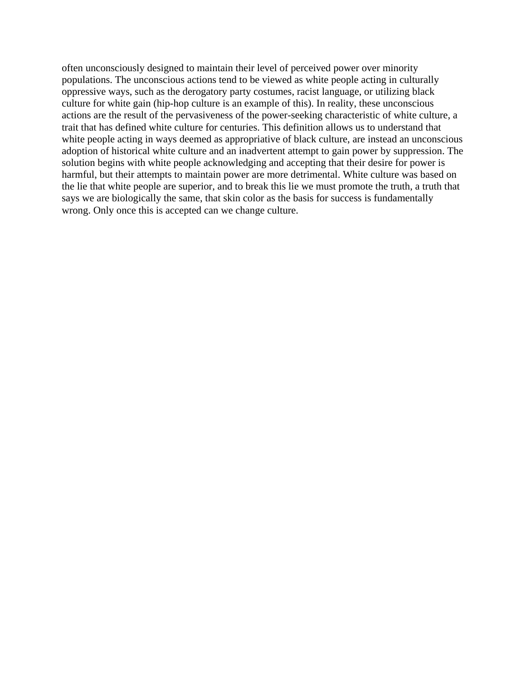often unconsciously designed to maintain their level of perceived power over minority populations. The unconscious actions tend to be viewed as white people acting in culturally oppressive ways, such as the derogatory party costumes, racist language, or utilizing black culture for white gain (hip-hop culture is an example of this). In reality, these unconscious actions are the result of the pervasiveness of the power-seeking characteristic of white culture, a trait that has defined white culture for centuries. This definition allows us to understand that white people acting in ways deemed as appropriative of black culture, are instead an unconscious adoption of historical white culture and an inadvertent attempt to gain power by suppression. The solution begins with white people acknowledging and accepting that their desire for power is harmful, but their attempts to maintain power are more detrimental. White culture was based on the lie that white people are superior, and to break this lie we must promote the truth, a truth that says we are biologically the same, that skin color as the basis for success is fundamentally wrong. Only once this is accepted can we change culture.